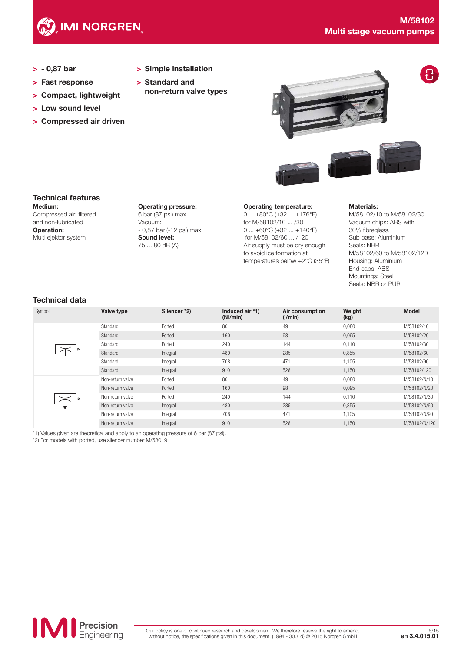

- > 0,87 bar
- > Fast response
- > Compact, lightweight
- > Low sound level
- > Compressed air driven
- > Simple installation
- > Standard and non-return valve types



# Technical features

Medium: Compressed air, filtered and non-lubricated Operation: Multi ejektor system

Operating pressure: 6 bar (87 psi) max. Vacuum: - 0,87 bar (-12 psi) max. Sound level: 75 ... 80 dB (A)

Operating temperature:

0 ... +80°C (+32 ... +176°F) for M/58102/10 ... /30 0 ... +60°C (+32 ... +140°F) for M/58102/60 ... /120 Air supply must be dry enough to avoid ice formation at temperatures below +2°C (35°F)

#### Materials:

M/58102/10 to M/58102/30 Vacuum chips: ABS with 30% fibreglass, Sub base: Aluminium Seals: NBR M/58102/60 to M/58102/120 Housing: Aluminium End caps: ABS Mountings: Steel Seals: NBR or PUR

# Technical data

| Symbol | Valve type       | Silencer *2) | Induced air *1)<br>(Nl/min) | Air consumption<br>(I/min) | Weight<br>(kg) | <b>Model</b>  |
|--------|------------------|--------------|-----------------------------|----------------------------|----------------|---------------|
|        | Standard         | Ported       | 80                          | 49                         | 0,080          | M/58102/10    |
|        | Standard         | Ported       | 160                         | 98                         | 0,095          | M/58102/20    |
|        | Standard         | Ported       | 240                         | 144                        | 0,110          | M/58102/30    |
|        | Standard         | Integral     | 480                         | 285                        | 0,855          | M/58102/60    |
|        | Standard         | Integral     | 708                         | 471                        | 1.105          | M/58102/90    |
|        | Standard         | Integral     | 910                         | 528                        | 1,150          | M/58102/120   |
|        | Non-return valve | Ported       | 80                          | 49                         | 0,080          | M/58102/N/10  |
|        | Non-return valve | Ported       | 160                         | 98                         | 0,095          | M/58102/N/20  |
|        | Non-return valve | Ported       | 240                         | 144                        | 0,110          | M/58102/N/30  |
|        | Non-return valve | Integral     | 480                         | 285                        | 0,855          | M/58102/N/60  |
|        | Non-return valve | Integral     | 708                         | 471                        | 1.105          | M/58102/N/90  |
|        | Non-return valve | Integral     | 910                         | 528                        | 1.150          | M/58102/N/120 |

\*1) Values given are theoretical and apply to an operating pressure of 6 bar (87 psi).

\*2) For models with ported, use silencer number M/58019

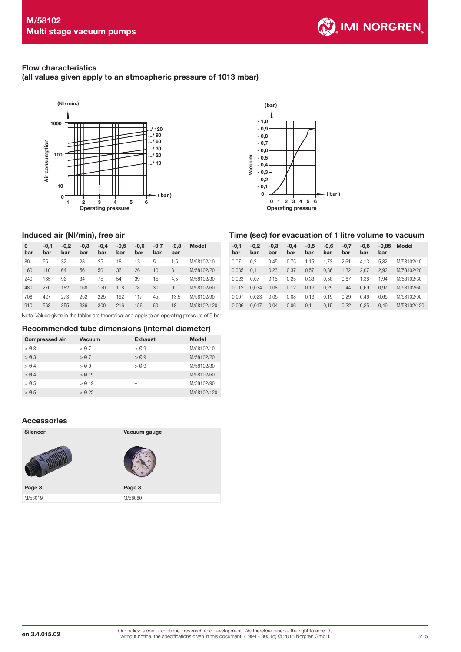

# Flow characteristics

Induced air (Nl/min), free air

 $\mathbf{o}$ bar

(all values given apply to an atmospheric pressure of 1013 mbar)





#### Time (sec) for evacuation of 1 litre volume to vacuum

| 0<br>bar | $-0.1$<br>bar | $-0.2$<br>bar | $-0,3$<br>bar | $-0,4$<br>bar | $-0,5$<br>bar | $-0.6$<br>bar | $-0.7$<br>bar | $-0.8$<br>bar | Model       | $-0.1$<br>bar | $-0.2$<br>bar | $-0.3$<br>bar | $-0.4$<br>bar | $-0,5$<br>bar | $-0,6$<br>bar | $-0.7$<br>bar | $-0.8$<br>bar | bar  | $-0.85$ Model |
|----------|---------------|---------------|---------------|---------------|---------------|---------------|---------------|---------------|-------------|---------------|---------------|---------------|---------------|---------------|---------------|---------------|---------------|------|---------------|
| 80       | 55            | 32            | 28            | 25            | 18            | 13            |               | .5            | M/58102/10  | 0.07          | 0.2           | 0.45          | 0.75          | .15           | 1.73          | 2.61          | 4.13          | 5.82 | M/58102/10    |
| 160      | 110           | 64            | 56            | 50            | 36            | 26            | 10            | 3             | M/58102/20  | 0.035         | 0.1           | 0,23          | 0,37          | 0,57          | 0,86          | 1,32          | 2,07          | 2.92 | M/58102/20    |
| 240      | 165           | 96            | 84            | 75            | 54            | 39            | 15            | 4.5           | M/58102/30  | 0.023         | 0.07          | 0.15          | 0,25          | 0.38          | 0.58          | 0,87          | .38           | .94  | M/58102/30    |
| 480      | 270           | 182           | 168           | 150           | 108           | 78            | 30            | 9             | M/58102/60  | 0.012         | 0,034         | 0,08          | 0.12          | 0,19          | 0,29          | 0,44          | 0,69          | 0.97 | M/58102/60    |
| 708      | 427           | 273           | 252           | 225           | 162           | 117           | 45            | 13.5          | M/58102/90  | 0.007         | 0.023         | 0,05          | 0.08          | 0.13          | 0.19          | 0,29          | 0.46          | 0.65 | M/58102/90    |
| 910      | 568           | 355           | 336           | 300           | 216           | 156           | 60            | 18            | M/58102/120 | 0.006         | 0,017         | 0,04          | 0,06          | 0,1           | 0,15          | 0,22          | 0,35          | 0,49 | M/58102/120   |
|          |               |               |               |               |               |               |               |               |             |               |               |               |               |               |               |               |               |      |               |

Note: Values given in the tables are theoretical and apply to an operating pressure of 5 bar

#### Recommended tube dimensions (internal diameter)

| <b>Compressed air</b> | Vacuum   | Exhaust | <b>Model</b> |
|-----------------------|----------|---------|--------------|
| > 0.3                 | > 0.7    | $>$ 0.9 | M/58102/10   |
| $>$ 0 3               | > 0.7    | $>$ 0.9 | M/58102/20   |
| > 0.4                 | $>$ 0.9  | $>$ 0.9 | M/58102/30   |
| > 0.4                 | $>$ 0 19 | -       | M/58102/60   |
| > 0.5                 | $>$ 0 19 |         | M/58102/90   |
| > 0.5                 | $>$ 0.22 |         | M/58102/120  |

### Accessories

| <b>Silencer</b><br>Vacuum gauge |  |
|---------------------------------|--|
|                                 |  |
| Page 3<br>Page 3                |  |
| M/58019<br>M/58080              |  |